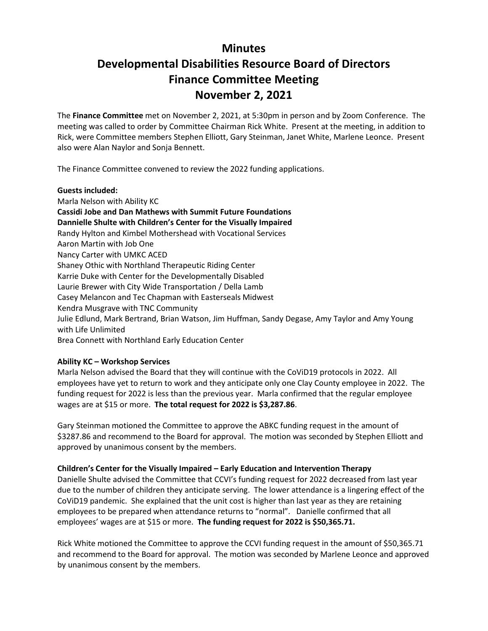## **Minutes Developmental Disabilities Resource Board of Directors**

# **Finance Committee Meeting**

### **November 2, 2021**

The **Finance Committee** met on November 2, 2021, at 5:30pm in person and by Zoom Conference. The meeting was called to order by Committee Chairman Rick White. Present at the meeting, in addition to Rick, were Committee members Stephen Elliott, Gary Steinman, Janet White, Marlene Leonce. Present also were Alan Naylor and Sonja Bennett.

The Finance Committee convened to review the 2022 funding applications.

#### **Guests included:**

Marla Nelson with Ability KC **Cassidi Jobe and Dan Mathews with Summit Future Foundations Dannielle Shulte with Children's Center for the Visually Impaired** Randy Hylton and Kimbel Mothershead with Vocational Services Aaron Martin with Job One Nancy Carter with UMKC ACED Shaney Othic with Northland Therapeutic Riding Center Karrie Duke with Center for the Developmentally Disabled Laurie Brewer with City Wide Transportation / Della Lamb Casey Melancon and Tec Chapman with Easterseals Midwest Kendra Musgrave with TNC Community Julie Edlund, Mark Bertrand, Brian Watson, Jim Huffman, Sandy Degase, Amy Taylor and Amy Young with Life Unlimited Brea Connett with Northland Early Education Center

#### **Ability KC – Workshop Services**

Marla Nelson advised the Board that they will continue with the CoViD19 protocols in 2022. All employees have yet to return to work and they anticipate only one Clay County employee in 2022. The funding request for 2022 is less than the previous year. Marla confirmed that the regular employee wages are at \$15 or more. **The total request for 2022 is \$3,287.86**.

Gary Steinman motioned the Committee to approve the ABKC funding request in the amount of \$3287.86 and recommend to the Board for approval. The motion was seconded by Stephen Elliott and approved by unanimous consent by the members.

#### **Children's Center for the Visually Impaired – Early Education and Intervention Therapy**

Danielle Shulte advised the Committee that CCVI's funding request for 2022 decreased from last year due to the number of children they anticipate serving. The lower attendance is a lingering effect of the CoViD19 pandemic. She explained that the unit cost is higher than last year as they are retaining employees to be prepared when attendance returns to "normal". Danielle confirmed that all employees' wages are at \$15 or more. **The funding request for 2022 is \$50,365.71.** 

Rick White motioned the Committee to approve the CCVI funding request in the amount of \$50,365.71 and recommend to the Board for approval. The motion was seconded by Marlene Leonce and approved by unanimous consent by the members.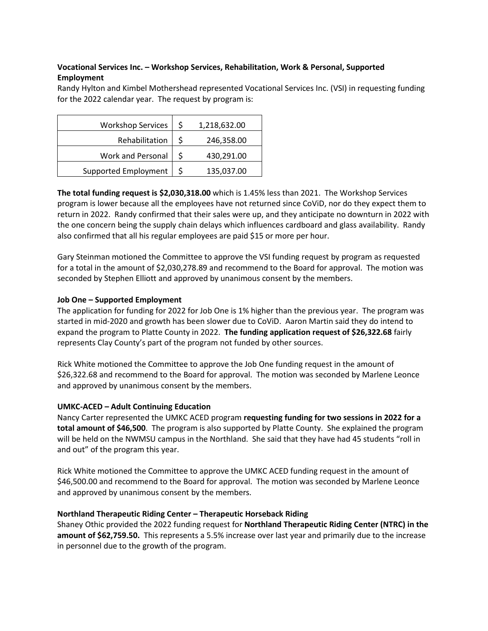#### **Vocational Services Inc. – Workshop Services, Rehabilitation, Work & Personal, Supported Employment**

Randy Hylton and Kimbel Mothershead represented Vocational Services Inc. (VSI) in requesting funding for the 2022 calendar year. The request by program is:

| <b>Workshop Services</b> | \$ | 1,218,632.00 |
|--------------------------|----|--------------|
| Rehabilitation           | Ś  | 246,358.00   |
| Work and Personal        | Ś  | 430,291.00   |
| Supported Employment     | Ś  | 135,037.00   |

**The total funding request is \$2,030,318.00** which is 1.45% less than 2021. The Workshop Services program is lower because all the employees have not returned since CoViD, nor do they expect them to return in 2022. Randy confirmed that their sales were up, and they anticipate no downturn in 2022 with the one concern being the supply chain delays which influences cardboard and glass availability. Randy also confirmed that all his regular employees are paid \$15 or more per hour.

Gary Steinman motioned the Committee to approve the VSI funding request by program as requested for a total in the amount of \$2,030,278.89 and recommend to the Board for approval. The motion was seconded by Stephen Elliott and approved by unanimous consent by the members.

#### **Job One – Supported Employment**

The application for funding for 2022 for Job One is 1% higher than the previous year. The program was started in mid-2020 and growth has been slower due to CoViD. Aaron Martin said they do intend to expand the program to Platte County in 2022. **The funding application request of \$26,322.68** fairly represents Clay County's part of the program not funded by other sources.

Rick White motioned the Committee to approve the Job One funding request in the amount of \$26,322.68 and recommend to the Board for approval. The motion was seconded by Marlene Leonce and approved by unanimous consent by the members.

#### **UMKC-ACED – Adult Continuing Education**

Nancy Carter represented the UMKC ACED program **requesting funding for two sessions in 2022 for a total amount of \$46,500**. The program is also supported by Platte County. She explained the program will be held on the NWMSU campus in the Northland. She said that they have had 45 students "roll in and out" of the program this year.

Rick White motioned the Committee to approve the UMKC ACED funding request in the amount of \$46,500.00 and recommend to the Board for approval. The motion was seconded by Marlene Leonce and approved by unanimous consent by the members.

#### **Northland Therapeutic Riding Center – Therapeutic Horseback Riding**

Shaney Othic provided the 2022 funding request for **Northland Therapeutic Riding Center (NTRC) in the amount of \$62,759.50.** This represents a 5.5% increase over last year and primarily due to the increase in personnel due to the growth of the program.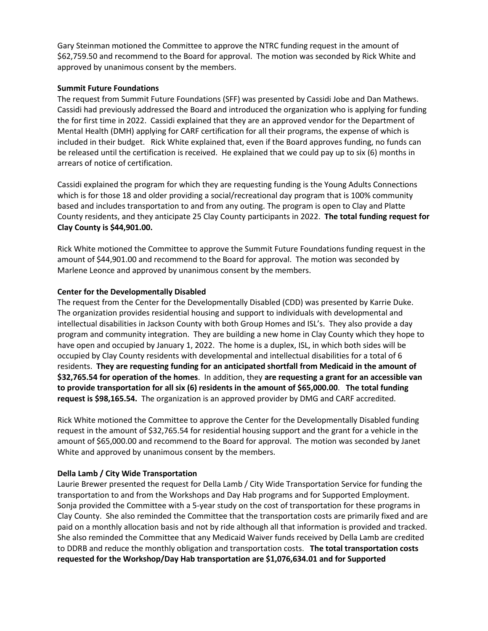Gary Steinman motioned the Committee to approve the NTRC funding request in the amount of \$62,759.50 and recommend to the Board for approval. The motion was seconded by Rick White and approved by unanimous consent by the members.

#### **Summit Future Foundations**

The request from Summit Future Foundations (SFF) was presented by Cassidi Jobe and Dan Mathews. Cassidi had previously addressed the Board and introduced the organization who is applying for funding the for first time in 2022. Cassidi explained that they are an approved vendor for the Department of Mental Health (DMH) applying for CARF certification for all their programs, the expense of which is included in their budget. Rick White explained that, even if the Board approves funding, no funds can be released until the certification is received. He explained that we could pay up to six (6) months in arrears of notice of certification.

Cassidi explained the program for which they are requesting funding is the Young Adults Connections which is for those 18 and older providing a social/recreational day program that is 100% community based and includes transportation to and from any outing. The program is open to Clay and Platte County residents, and they anticipate 25 Clay County participants in 2022. **The total funding request for Clay County is \$44,901.00.**

Rick White motioned the Committee to approve the Summit Future Foundations funding request in the amount of \$44,901.00 and recommend to the Board for approval. The motion was seconded by Marlene Leonce and approved by unanimous consent by the members.

#### **Center for the Developmentally Disabled**

The request from the Center for the Developmentally Disabled (CDD) was presented by Karrie Duke. The organization provides residential housing and support to individuals with developmental and intellectual disabilities in Jackson County with both Group Homes and ISL's. They also provide a day program and community integration. They are building a new home in Clay County which they hope to have open and occupied by January 1, 2022. The home is a duplex, ISL, in which both sides will be occupied by Clay County residents with developmental and intellectual disabilities for a total of 6 residents. **They are requesting funding for an anticipated shortfall from Medicaid in the amount of \$32,765.54 for operation of the homes**. In addition, they **are requesting a grant for an accessible van to provide transportation for all six (6) residents in the amount of \$65,000.00**. **The total funding request is \$98,165.54.** The organization is an approved provider by DMG and CARF accredited.

Rick White motioned the Committee to approve the Center for the Developmentally Disabled funding request in the amount of \$32,765.54 for residential housing support and the grant for a vehicle in the amount of \$65,000.00 and recommend to the Board for approval. The motion was seconded by Janet White and approved by unanimous consent by the members.

#### **Della Lamb / City Wide Transportation**

Laurie Brewer presented the request for Della Lamb / City Wide Transportation Service for funding the transportation to and from the Workshops and Day Hab programs and for Supported Employment. Sonja provided the Committee with a 5-year study on the cost of transportation for these programs in Clay County. She also reminded the Committee that the transportation costs are primarily fixed and are paid on a monthly allocation basis and not by ride although all that information is provided and tracked. She also reminded the Committee that any Medicaid Waiver funds received by Della Lamb are credited to DDRB and reduce the monthly obligation and transportation costs. **The total transportation costs requested for the Workshop/Day Hab transportation are \$1,076,634.01 and for Supported**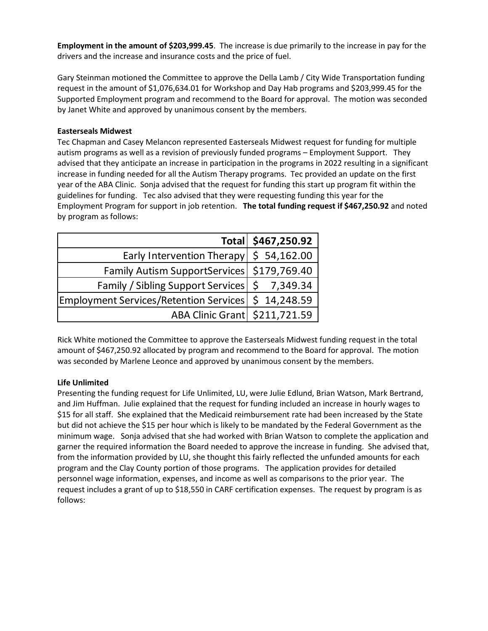**Employment in the amount of \$203,999.45**. The increase is due primarily to the increase in pay for the drivers and the increase and insurance costs and the price of fuel.

Gary Steinman motioned the Committee to approve the Della Lamb / City Wide Transportation funding request in the amount of \$1,076,634.01 for Workshop and Day Hab programs and \$203,999.45 for the Supported Employment program and recommend to the Board for approval. The motion was seconded by Janet White and approved by unanimous consent by the members.

#### **Easterseals Midwest**

Tec Chapman and Casey Melancon represented Easterseals Midwest request for funding for multiple autism programs as well as a revision of previously funded programs – Employment Support. They advised that they anticipate an increase in participation in the programs in 2022 resulting in a significant increase in funding needed for all the Autism Therapy programs. Tec provided an update on the first year of the ABA Clinic. Sonja advised that the request for funding this start up program fit within the guidelines for funding. Tec also advised that they were requesting funding this year for the Employment Program for support in job retention. **The total funding request if \$467,250.92** and noted by program as follows:

|                                                       | Total \$467,250.92 |
|-------------------------------------------------------|--------------------|
| Early Intervention Therapy                            | \$54,162.00        |
| Family Autism SupportServices   \$179,769.40          |                    |
| Family / Sibling Support Services   \$ 7,349.34       |                    |
| Employment Services/Retention Services   \$ 14,248.59 |                    |
| ABA Clinic Grant \$211,721.59                         |                    |

Rick White motioned the Committee to approve the Easterseals Midwest funding request in the total amount of \$467,250.92 allocated by program and recommend to the Board for approval. The motion was seconded by Marlene Leonce and approved by unanimous consent by the members.

#### **Life Unlimited**

Presenting the funding request for Life Unlimited, LU, were Julie Edlund, Brian Watson, Mark Bertrand, and Jim Huffman. Julie explained that the request for funding included an increase in hourly wages to \$15 for all staff. She explained that the Medicaid reimbursement rate had been increased by the State but did not achieve the \$15 per hour which is likely to be mandated by the Federal Government as the minimum wage. Sonja advised that she had worked with Brian Watson to complete the application and garner the required information the Board needed to approve the increase in funding. She advised that, from the information provided by LU, she thought this fairly reflected the unfunded amounts for each program and the Clay County portion of those programs. The application provides for detailed personnel wage information, expenses, and income as well as comparisons to the prior year. The request includes a grant of up to \$18,550 in CARF certification expenses. The request by program is as follows: